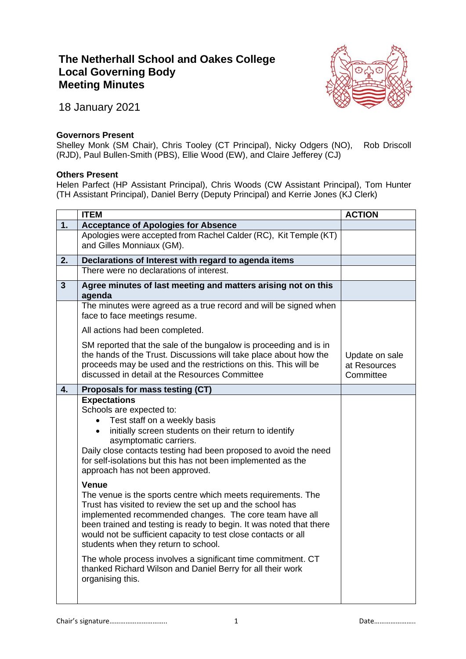## **The Netherhall School and Oakes College Local Governing Body Meeting Minutes**



18 January 2021

## **Governors Present**

Shelley Monk (SM Chair), Chris Tooley (CT Principal), Nicky Odgers (NO), Rob Driscoll (RJD), Paul Bullen-Smith (PBS), Ellie Wood (EW), and Claire Jefferey (CJ)

## **Others Present**

Helen Parfect (HP Assistant Principal), Chris Woods (CW Assistant Principal), Tom Hunter (TH Assistant Principal), Daniel Berry (Deputy Principal) and Kerrie Jones (KJ Clerk)

|                | <b>ITEM</b>                                                                                                                                                                                                                                                                                                                                                                                                                                                                                                                      | <b>ACTION</b>                               |
|----------------|----------------------------------------------------------------------------------------------------------------------------------------------------------------------------------------------------------------------------------------------------------------------------------------------------------------------------------------------------------------------------------------------------------------------------------------------------------------------------------------------------------------------------------|---------------------------------------------|
| 1.             | <b>Acceptance of Apologies for Absence</b>                                                                                                                                                                                                                                                                                                                                                                                                                                                                                       |                                             |
|                | Apologies were accepted from Rachel Calder (RC), Kit Temple (KT)<br>and Gilles Monniaux (GM).                                                                                                                                                                                                                                                                                                                                                                                                                                    |                                             |
| 2.             | Declarations of Interest with regard to agenda items                                                                                                                                                                                                                                                                                                                                                                                                                                                                             |                                             |
|                | There were no declarations of interest.                                                                                                                                                                                                                                                                                                                                                                                                                                                                                          |                                             |
| $\overline{3}$ | Agree minutes of last meeting and matters arising not on this<br>agenda                                                                                                                                                                                                                                                                                                                                                                                                                                                          |                                             |
|                | The minutes were agreed as a true record and will be signed when<br>face to face meetings resume.                                                                                                                                                                                                                                                                                                                                                                                                                                |                                             |
|                | All actions had been completed.                                                                                                                                                                                                                                                                                                                                                                                                                                                                                                  |                                             |
|                | SM reported that the sale of the bungalow is proceeding and is in<br>the hands of the Trust. Discussions will take place about how the<br>proceeds may be used and the restrictions on this. This will be<br>discussed in detail at the Resources Committee                                                                                                                                                                                                                                                                      | Update on sale<br>at Resources<br>Committee |
| 4.             | Proposals for mass testing (CT)                                                                                                                                                                                                                                                                                                                                                                                                                                                                                                  |                                             |
|                | <b>Expectations</b><br>Schools are expected to:<br>Test staff on a weekly basis<br>initially screen students on their return to identify<br>$\bullet$<br>asymptomatic carriers.<br>Daily close contacts testing had been proposed to avoid the need<br>for self-isolations but this has not been implemented as the<br>approach has not been approved.                                                                                                                                                                           |                                             |
|                | Venue<br>The venue is the sports centre which meets requirements. The<br>Trust has visited to review the set up and the school has<br>implemented recommended changes. The core team have all<br>been trained and testing is ready to begin. It was noted that there<br>would not be sufficient capacity to test close contacts or all<br>students when they return to school.<br>The whole process involves a significant time commitment. CT<br>thanked Richard Wilson and Daniel Berry for all their work<br>organising this. |                                             |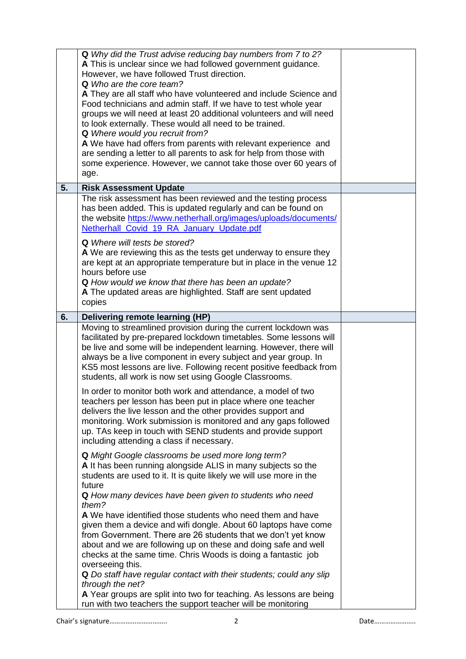|    | Q Why did the Trust advise reducing bay numbers from 7 to 2?<br>A This is unclear since we had followed government guidance.<br>However, we have followed Trust direction.<br><b>Q</b> Who are the core team?<br>A They are all staff who have volunteered and include Science and<br>Food technicians and admin staff. If we have to test whole year<br>groups we will need at least 20 additional volunteers and will need<br>to look externally. These would all need to be trained.<br><b>Q</b> Where would you recruit from?<br>A We have had offers from parents with relevant experience and<br>are sending a letter to all parents to ask for help from those with<br>some experience. However, we cannot take those over 60 years of<br>age. |  |
|----|-------------------------------------------------------------------------------------------------------------------------------------------------------------------------------------------------------------------------------------------------------------------------------------------------------------------------------------------------------------------------------------------------------------------------------------------------------------------------------------------------------------------------------------------------------------------------------------------------------------------------------------------------------------------------------------------------------------------------------------------------------|--|
| 5. | <b>Risk Assessment Update</b>                                                                                                                                                                                                                                                                                                                                                                                                                                                                                                                                                                                                                                                                                                                         |  |
|    | The risk assessment has been reviewed and the testing process<br>has been added. This is updated regularly and can be found on<br>the website https://www.netherhall.org/images/uploads/documents/<br>Netherhall Covid 19 RA January Update.pdf<br><b>Q</b> Where will tests be stored?<br>A We are reviewing this as the tests get underway to ensure they<br>are kept at an appropriate temperature but in place in the venue 12                                                                                                                                                                                                                                                                                                                    |  |
|    | hours before use<br>Q How would we know that there has been an update?<br>A The updated areas are highlighted. Staff are sent updated<br>copies                                                                                                                                                                                                                                                                                                                                                                                                                                                                                                                                                                                                       |  |
| 6. | Delivering remote learning (HP)                                                                                                                                                                                                                                                                                                                                                                                                                                                                                                                                                                                                                                                                                                                       |  |
|    | Moving to streamlined provision during the current lockdown was<br>facilitated by pre-prepared lockdown timetables. Some lessons will<br>be live and some will be independent learning. However, there will<br>always be a live component in every subject and year group. In<br>KS5 most lessons are live. Following recent positive feedback from<br>students, all work is now set using Google Classrooms.                                                                                                                                                                                                                                                                                                                                         |  |
|    | In order to monitor both work and attendance, a model of two<br>teachers per lesson has been put in place where one teacher<br>delivers the live lesson and the other provides support and<br>monitoring. Work submission is monitored and any gaps followed<br>up. TAs keep in touch with SEND students and provide support<br>including attending a class if necessary.                                                                                                                                                                                                                                                                                                                                                                             |  |
|    | Q Might Google classrooms be used more long term?<br>A It has been running alongside ALIS in many subjects so the<br>students are used to it. It is quite likely we will use more in the<br>future<br>Q How many devices have been given to students who need<br>them?                                                                                                                                                                                                                                                                                                                                                                                                                                                                                |  |
|    | A We have identified those students who need them and have<br>given them a device and wifi dongle. About 60 laptops have come<br>from Government. There are 26 students that we don't yet know<br>about and we are following up on these and doing safe and well<br>checks at the same time. Chris Woods is doing a fantastic job<br>overseeing this.<br>Q Do staff have regular contact with their students; could any slip<br>through the net?                                                                                                                                                                                                                                                                                                      |  |
|    | A Year groups are split into two for teaching. As lessons are being<br>run with two teachers the support teacher will be monitoring                                                                                                                                                                                                                                                                                                                                                                                                                                                                                                                                                                                                                   |  |

Chair's signature………………………….. 2 Date…………………..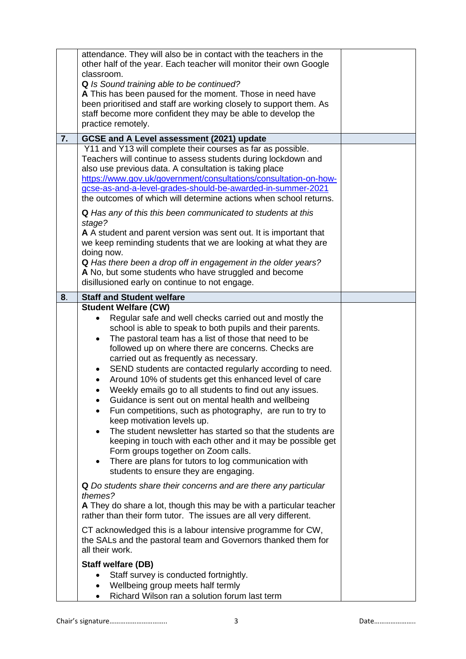|    | attendance. They will also be in contact with the teachers in the<br>other half of the year. Each teacher will monitor their own Google<br>classroom.<br>Q Is Sound training able to be continued?<br>A This has been paused for the moment. Those in need have<br>been prioritised and staff are working closely to support them. As<br>staff become more confident they may be able to develop the<br>practice remotely.                                                                                                                                                                                                                                                                                                                                                                                                                                                                                                                |  |
|----|-------------------------------------------------------------------------------------------------------------------------------------------------------------------------------------------------------------------------------------------------------------------------------------------------------------------------------------------------------------------------------------------------------------------------------------------------------------------------------------------------------------------------------------------------------------------------------------------------------------------------------------------------------------------------------------------------------------------------------------------------------------------------------------------------------------------------------------------------------------------------------------------------------------------------------------------|--|
| 7. | GCSE and A Level assessment (2021) update                                                                                                                                                                                                                                                                                                                                                                                                                                                                                                                                                                                                                                                                                                                                                                                                                                                                                                 |  |
|    | Y11 and Y13 will complete their courses as far as possible.<br>Teachers will continue to assess students during lockdown and<br>also use previous data. A consultation is taking place<br>https://www.gov.uk/government/consultations/consultation-on-how-<br>gcse-as-and-a-level-grades-should-be-awarded-in-summer-2021<br>the outcomes of which will determine actions when school returns.<br>Q Has any of this this been communicated to students at this<br>stage?<br>A A student and parent version was sent out. It is important that<br>we keep reminding students that we are looking at what they are<br>doing now.<br>Q Has there been a drop off in engagement in the older years?<br>A No, but some students who have struggled and become<br>disillusioned early on continue to not engage.                                                                                                                                |  |
| 8. | <b>Staff and Student welfare</b>                                                                                                                                                                                                                                                                                                                                                                                                                                                                                                                                                                                                                                                                                                                                                                                                                                                                                                          |  |
|    | <b>Student Welfare (CW)</b><br>Regular safe and well checks carried out and mostly the<br>school is able to speak to both pupils and their parents.<br>The pastoral team has a list of those that need to be<br>٠<br>followed up on where there are concerns. Checks are<br>carried out as frequently as necessary.<br>SEND students are contacted regularly according to need.<br>Around 10% of students get this enhanced level of care<br>$\bullet$<br>Weekly emails go to all students to find out any issues.<br>Guidance is sent out on mental health and wellbeing<br>Fun competitions, such as photography, are run to try to<br>keep motivation levels up.<br>The student newsletter has started so that the students are<br>keeping in touch with each other and it may be possible get<br>Form groups together on Zoom calls.<br>There are plans for tutors to log communication with<br>students to ensure they are engaging. |  |
|    | Q Do students share their concerns and are there any particular<br>themes?<br>A They do share a lot, though this may be with a particular teacher<br>rather than their form tutor. The issues are all very different.                                                                                                                                                                                                                                                                                                                                                                                                                                                                                                                                                                                                                                                                                                                     |  |
|    | CT acknowledged this is a labour intensive programme for CW,<br>the SALs and the pastoral team and Governors thanked them for<br>all their work.                                                                                                                                                                                                                                                                                                                                                                                                                                                                                                                                                                                                                                                                                                                                                                                          |  |
|    | <b>Staff welfare (DB)</b><br>Staff survey is conducted fortnightly.<br>Wellbeing group meets half termly<br>Richard Wilson ran a solution forum last term                                                                                                                                                                                                                                                                                                                                                                                                                                                                                                                                                                                                                                                                                                                                                                                 |  |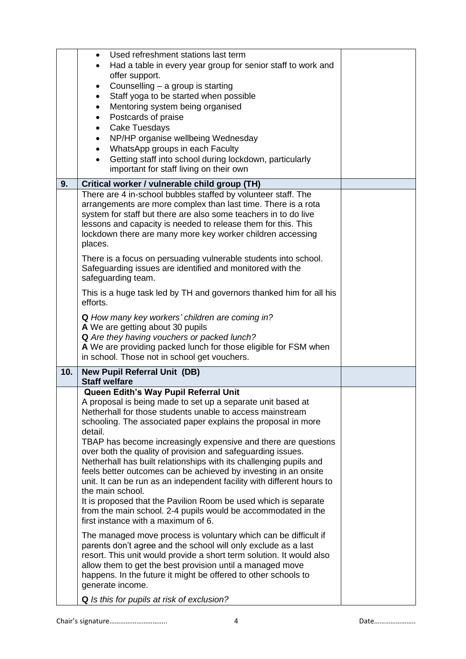| Used refreshment stations last term<br>$\bullet$                                                                                  |  |
|-----------------------------------------------------------------------------------------------------------------------------------|--|
| Had a table in every year group for senior staff to work and                                                                      |  |
| offer support.                                                                                                                    |  |
| Counselling - a group is starting<br>٠                                                                                            |  |
| Staff yoga to be started when possible<br>$\bullet$                                                                               |  |
| Mentoring system being organised<br>$\bullet$                                                                                     |  |
| Postcards of praise<br>$\bullet$                                                                                                  |  |
| <b>Cake Tuesdays</b><br>$\bullet$                                                                                                 |  |
| NP/HP organise wellbeing Wednesday<br>WhatsApp groups in each Faculty                                                             |  |
| Getting staff into school during lockdown, particularly                                                                           |  |
| important for staff living on their own                                                                                           |  |
| 9.<br>Critical worker / vulnerable child group (TH)                                                                               |  |
| There are 4 in-school bubbles staffed by volunteer staff. The                                                                     |  |
| arrangements are more complex than last time. There is a rota                                                                     |  |
| system for staff but there are also some teachers in to do live                                                                   |  |
| lessons and capacity is needed to release them for this. This                                                                     |  |
| lockdown there are many more key worker children accessing                                                                        |  |
| places.                                                                                                                           |  |
| There is a focus on persuading vulnerable students into school.                                                                   |  |
| Safeguarding issues are identified and monitored with the                                                                         |  |
| safeguarding team.                                                                                                                |  |
| This is a huge task led by TH and governors thanked him for all his                                                               |  |
| efforts.                                                                                                                          |  |
| Q How many key workers' children are coming in?                                                                                   |  |
| A We are getting about 30 pupils                                                                                                  |  |
| Q Are they having vouchers or packed lunch?                                                                                       |  |
| A We are providing packed lunch for those eligible for FSM when                                                                   |  |
| in school. Those not in school get vouchers.                                                                                      |  |
| 10.<br><b>New Pupil Referral Unit (DB)</b>                                                                                        |  |
| <b>Staff welfare</b><br>Queen Edith's Way Pupil Referral Unit                                                                     |  |
| A proposal is being made to set up a separate unit based at                                                                       |  |
| Netherhall for those students unable to access mainstream                                                                         |  |
| schooling. The associated paper explains the proposal in more                                                                     |  |
| detail.                                                                                                                           |  |
| TBAP has become increasingly expensive and there are questions                                                                    |  |
| over both the quality of provision and safeguarding issues.                                                                       |  |
| Netherhall has built relationships with its challenging pupils and                                                                |  |
| feels better outcomes can be achieved by investing in an onsite                                                                   |  |
| unit. It can be run as an independent facility with different hours to<br>the main school.                                        |  |
| It is proposed that the Pavilion Room be used which is separate                                                                   |  |
| from the main school. 2-4 pupils would be accommodated in the                                                                     |  |
| first instance with a maximum of 6.                                                                                               |  |
|                                                                                                                                   |  |
| The managed move process is voluntary which can be difficult if<br>parents don't agree and the school will only exclude as a last |  |
| resort. This unit would provide a short term solution. It would also                                                              |  |
| allow them to get the best provision until a managed move                                                                         |  |
|                                                                                                                                   |  |
| happens. In the future it might be offered to other schools to                                                                    |  |
| generate income.                                                                                                                  |  |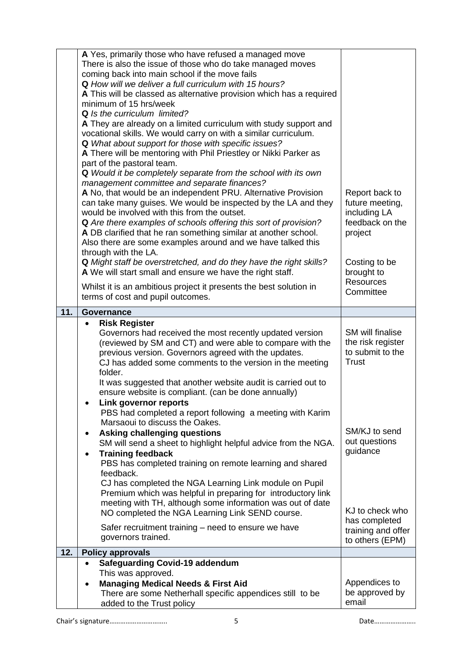|     | A Yes, primarily those who have refused a managed move<br>There is also the issue of those who do take managed moves<br>coming back into main school if the move fails<br><b>Q</b> How will we deliver a full curriculum with 15 hours?<br>A This will be classed as alternative provision which has a required<br>minimum of 15 hrs/week<br>Q Is the curriculum limited?<br>A They are already on a limited curriculum with study support and<br>vocational skills. We would carry on with a similar curriculum.<br>Q What about support for those with specific issues?<br>A There will be mentoring with Phil Priestley or Nikki Parker as<br>part of the pastoral team.<br>Q Would it be completely separate from the school with its own<br>management committee and separate finances?<br>A No, that would be an independent PRU. Alternative Provision<br>can take many guises. We would be inspected by the LA and they<br>would be involved with this from the outset.<br>Q Are there examples of schools offering this sort of provision?<br>A DB clarified that he ran something similar at another school.<br>Also there are some examples around and we have talked this<br>through with the LA.<br>Q Might staff be overstretched, and do they have the right skills?<br>A We will start small and ensure we have the right staff.<br>Whilst it is an ambitious project it presents the best solution in | Report back to<br>future meeting,<br>including LA<br>feedback on the<br>project<br>Costing to be<br>brought to<br><b>Resources</b><br>Committee |
|-----|------------------------------------------------------------------------------------------------------------------------------------------------------------------------------------------------------------------------------------------------------------------------------------------------------------------------------------------------------------------------------------------------------------------------------------------------------------------------------------------------------------------------------------------------------------------------------------------------------------------------------------------------------------------------------------------------------------------------------------------------------------------------------------------------------------------------------------------------------------------------------------------------------------------------------------------------------------------------------------------------------------------------------------------------------------------------------------------------------------------------------------------------------------------------------------------------------------------------------------------------------------------------------------------------------------------------------------------------------------------------------------------------------------------------|-------------------------------------------------------------------------------------------------------------------------------------------------|
|     | terms of cost and pupil outcomes.                                                                                                                                                                                                                                                                                                                                                                                                                                                                                                                                                                                                                                                                                                                                                                                                                                                                                                                                                                                                                                                                                                                                                                                                                                                                                                                                                                                      |                                                                                                                                                 |
| 11. | Governance<br><b>Risk Register</b><br>$\bullet$                                                                                                                                                                                                                                                                                                                                                                                                                                                                                                                                                                                                                                                                                                                                                                                                                                                                                                                                                                                                                                                                                                                                                                                                                                                                                                                                                                        |                                                                                                                                                 |
|     | Governors had received the most recently updated version<br>(reviewed by SM and CT) and were able to compare with the<br>previous version. Governors agreed with the updates.<br>CJ has added some comments to the version in the meeting<br>folder.                                                                                                                                                                                                                                                                                                                                                                                                                                                                                                                                                                                                                                                                                                                                                                                                                                                                                                                                                                                                                                                                                                                                                                   | SM will finalise<br>the risk register<br>to submit to the<br><b>Trust</b>                                                                       |
|     | It was suggested that another website audit is carried out to<br>ensure website is compliant. (can be done annually)<br>Link governor reports<br>PBS had completed a report following a meeting with Karim<br>Marsaoui to discuss the Oakes.<br>Asking challenging questions<br>$\bullet$<br>SM will send a sheet to highlight helpful advice from the NGA.<br><b>Training feedback</b><br>$\bullet$<br>PBS has completed training on remote learning and shared<br>feedback.<br>CJ has completed the NGA Learning Link module on Pupil<br>Premium which was helpful in preparing for introductory link<br>meeting with TH, although some information was out of date<br>NO completed the NGA Learning Link SEND course.<br>Safer recruitment training – need to ensure we have<br>governors trained.                                                                                                                                                                                                                                                                                                                                                                                                                                                                                                                                                                                                                  | SM/KJ to send<br>out questions<br>guidance<br>KJ to check who<br>has completed<br>training and offer<br>to others (EPM)                         |
| 12. | <b>Policy approvals</b>                                                                                                                                                                                                                                                                                                                                                                                                                                                                                                                                                                                                                                                                                                                                                                                                                                                                                                                                                                                                                                                                                                                                                                                                                                                                                                                                                                                                |                                                                                                                                                 |
|     | <b>Safeguarding Covid-19 addendum</b><br>This was approved.<br><b>Managing Medical Needs &amp; First Aid</b><br>$\bullet$<br>There are some Netherhall specific appendices still to be<br>added to the Trust policy                                                                                                                                                                                                                                                                                                                                                                                                                                                                                                                                                                                                                                                                                                                                                                                                                                                                                                                                                                                                                                                                                                                                                                                                    | Appendices to<br>be approved by<br>email                                                                                                        |